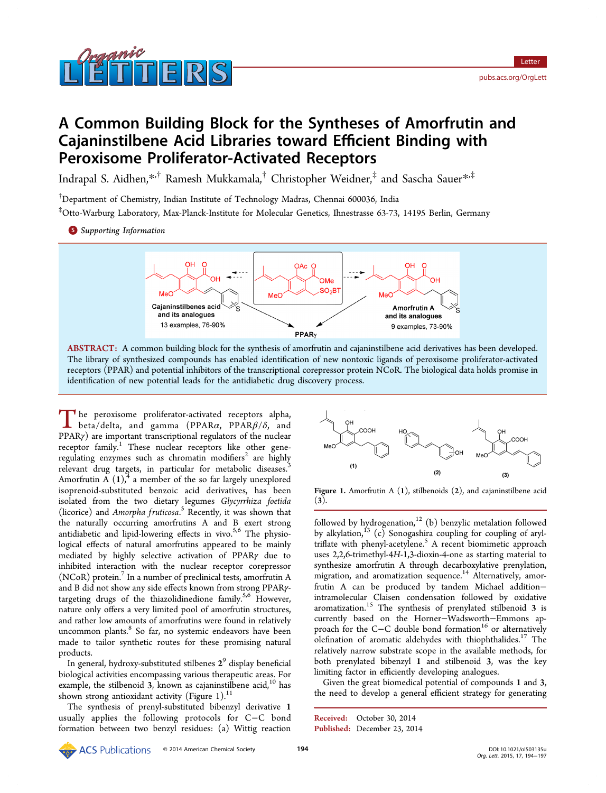# nanni

# A Common Building Block for the Syntheses of Amorfrutin and Cajaninstilbene Acid Libraries toward Efficient Binding with Peroxisome Proliferator-Activated Receptors

Indrapal S. Aidhen,\*,† Ramesh Mukkamala,† Christopher Weidner,‡ and Sascha Sauer\*,‡

† Department of Chemi[stry](#page-2-0), Indian Institute of Technology Madras, Chennai 600036, India

‡ Otto-Warburg Laboratory, Max-Planck-Institute for Molecular Genetics, Ihnestrasse 63-73, 14195 Berlin, Germany

**S** Supporting Information



ABSTRACT: A common building block for the synthesis of amorfrutin and cajaninstilbene acid derivatives has been developed. The library of synthesized compounds has enabled identification of new nontoxic ligands of peroxisome proliferator-activated receptors (PPAR) and potential inhibitors of the transcriptional corepressor protein NCoR. The biological data holds promise in identification of new potential leads for the antidiabetic drug discovery process.

The peroxisome proliferator-activated receptors alpha,<br>beta/delta, and gamma (PPAR $\alpha$ , PPAR $\beta$ / $\delta$ , and<br>ppAPa) are important transmittingly regulators of the pucker PPARγ) are important transcriptional regulators of the nuclear receptor family.<sup>1</sup> These nuclear receptors like other generegulating enzymes such as chromatin modifiers<sup>2</sup> are highly relev[a](#page-2-0)nt drug targets, in particular for metabolic diseases.<sup>3</sup> Amorfrutin A  $(1)$ ,<sup>4</sup> a member of the so far largel[y](#page-2-0) unexplored isoprenoid-substituted benzoic acid derivatives, has bee[n](#page-2-0) isolated from th[e](#page-2-0) two dietary legumes Glycyrrhiza foetida (licorice) and Amorpha fruticosa.<sup>5</sup> Recently, it was shown that the naturally occurring amorfrutins A and B exert strong antidiabetic and lipid-lowering e[ff](#page-3-0)ects in vivo. $5,6$  The physiological effects of natural amorfrutins appeared to be mainly mediated by highly selective activation of [PP](#page-3-0)ARγ due to inhibited interaction with the nuclear receptor corepressor (NCoR) protein.<sup>7</sup> In a number of preclinical tests, amorfrutin A and B did not show any side effects known from strong PPARγtargeting drugs [o](#page-3-0)f the thiazolidinedione family.<sup>5,6</sup> However, nature only offers a very limited pool of amorfrutin structures, and rather low amounts of amorfrutins were foun[d in](#page-3-0) relatively uncommon plants.<sup>8</sup> So far, no systemic endeavors have been made to tailor synthetic routes for these promising natural products.

In general, hydroxy-substituted stilbenes  $2<sup>9</sup>$  display beneficial biological activities encompassing various therapeutic areas. For example, the [st](#page-3-0)ilbenoid  $3$ , known as cajaninstilbene acid,<sup>10</sup> has shown strong antioxidant activity (Figure 1). $^{11}$ 

The synthesis of prenyl-substituted bibenzyl deriva[tiv](#page-3-0)e 1 usually applies the following protocols [fo](#page-3-0)r C−C bond formation between two benzyl residues: (a) Wittig reaction



**Figure 1.** Amorfrutin A  $(1)$ , stilbenoids  $(2)$ , and cajaninstilbene acid (3).

followed by hydrogenation, $12$  (b) benzylic metalation followed by alkylation,<sup>13</sup> (c) Sonogashira coupling for coupling of aryltriflate with phenyl-acetyle[ne](#page-3-0).<sup>5</sup> A recent biomimetic approach uses 2,2,6-tri[me](#page-3-0)thyl-4H-1,3-dioxin-4-one as starting material to synthesize amorfrutin A thr[ou](#page-3-0)gh decarboxylative prenylation, migration, and aromatization sequence.<sup>14</sup> Alternatively, amorfrutin A can be produced by tandem Michael addition− intramolecular Claisen condensation [fo](#page-3-0)llowed by oxidative aromatization. $15$  The synthesis of prenylated stilbenoid 3 is currently based on the Horner−Wadsworth−Emmons approach for th[e C](#page-3-0)−C double bond formation<sup>16</sup> or alternatively olefination of aromatic aldehydes with thiophthalides.<sup>17</sup> The relatively narrow substrate scope in the avail[ab](#page-3-0)le methods, for both prenylated bibenzyl 1 and stilbenoid 3, was t[he](#page-3-0) key limiting factor in efficiently developing analogues.

Given the great biomedical potential of compounds 1 and 3, the need to develop a general efficient strategy for generating

Received: October 30, 2014 Published: December 23, 2014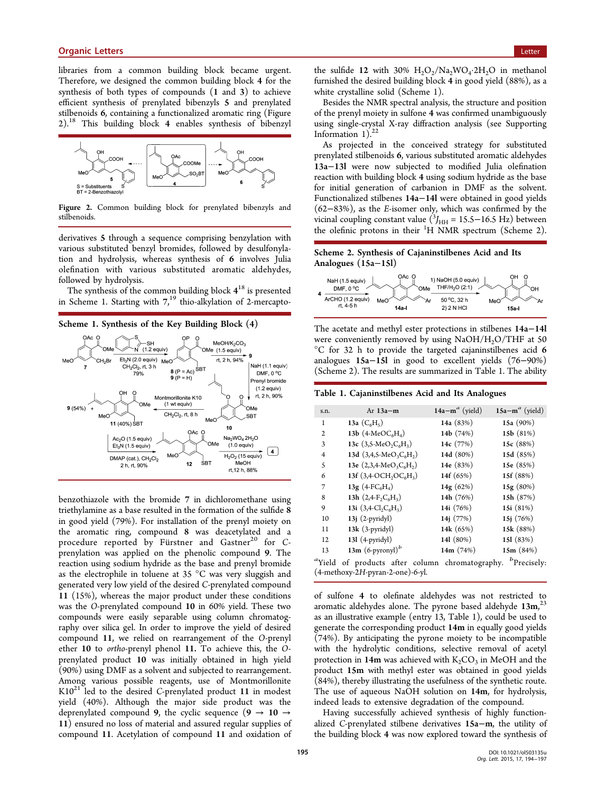libraries from a common building block became urgent. Therefore, we designed the common building block 4 for the synthesis of both types of compounds (1 and 3) to achieve efficient synthesis of prenylated bibenzyls 5 and prenylated stilbenoids 6, containing a functionalized aromatic ring (Figure 2).<sup>18</sup> This building block 4 enables synthesis of bibenzyl



Figure 2. Common building block for prenylated bibenzyls and stilbenoids.

derivatives 5 through a sequence comprising benzylation with various substituted benzyl bromides, followed by desulfonylation and hydrolysis, whereas synthesis of 6 involves Julia olefination with various substituted aromatic aldehydes, followed by hydrolysis.

The synthesis of the common building block  $4^{18}$  is presented in Scheme 1. Starting with  $7<sup>19</sup>$  thio-alkylation of 2-mercapto-



benzothiazole with the bromide 7 in dichloromethane using triethylamine as a base resulted in the formation of the sulfide 8 in good yield (79%). For installation of the prenyl moiety on the aromatic ring, compound 8 was deacetylated and a procedure reported by Fürstner and Gastner<sup>20</sup> for Cprenylation was applied on the phenolic compound 9. The reaction using sodium hydride as the base and pre[nyl](#page-3-0) bromide as the electrophile in toluene at 35 °C was very sluggish and generated very low yield of the desired C-prenylated compound 11 (15%), whereas the major product under these conditions was the O-prenylated compound 10 in 60% yield. These two compounds were easily separable using column chromatography over silica gel. In order to improve the yield of desired compound 11, we relied on rearrangement of the O-prenyl ether 10 to ortho-prenyl phenol 11. To achieve this, the Oprenylated product 10 was initially obtained in high yield (90%) using DMF as a solvent and subjected to rearrangement. Among various possible reagents, use of Montmorillonite  $K10^{21}$  led to the desired C-prenylated product 11 in modest yield (40%). Although the major side product was the dep[ren](#page-3-0)ylated compound 9, the cyclic sequence  $(9 \rightarrow 10 \rightarrow$ 11) ensured no loss of material and assured regular supplies of compound 11. Acetylation of compound 11 and oxidation of the sulfide 12 with 30%  $H_2O_2/Na_2WO_4.2H_2O$  in methanol furnished the desired building block 4 in good yield (88%), as a white crystalline solid (Scheme 1).

Besides the NMR spectral analysis, the structure and position of the prenyl moiety in sulfone 4 was confirmed unambiguously using single-crystal X-ray diffraction analysis (see Supporting Information  $1$ ).<sup>22</sup>

As projected in the conceived strategy for [substituted](#page-2-0) [prenylated s](#page-2-0)tilb[en](#page-3-0)oids 6, various substituted aromatic aldehydes 13a−13l were now subjected to modified Julia olefination reaction with building block 4 using sodium hydride as the base for initial generation of carbanion in DMF as the solvent. Functionalized stilbenes 14a−14l were obtained in good yields (62−83%), as the E-isomer only, which was confirmed by the vicinal coupling constant value  $(^3J_{\text{HH}} = 15.5 - 16.5 \text{ Hz})$  between the olefinic protons in their  ${}^{1}H$  NMR spectrum (Scheme 2).

#### Scheme 2. Synthesis of Cajaninstilbenes Acid and Its Analogues (15a−15l)



The acetate and methyl ester protections in stilbenes 14a−14l were conveniently removed by using  $NaOH/H<sub>2</sub>O/THF$  at 50 °C for 32 h to provide the targeted cajaninstilbenes acid 6 analogues 15a−15l in good to excellent yields (76−90%) (Scheme 2). The results are summarized in Table 1. The ability

Table 1. Cajaninstilbenes Acid and Its Analogues

| s.n.           | Ar $13a-m$                                                                          | 14a $-m^a$ (yield) | $15a-m^a$ (yield) |
|----------------|-------------------------------------------------------------------------------------|--------------------|-------------------|
| 1              | 13a $(C_6H_5)$                                                                      | 14a (83%)          | 15a $(90\%)$      |
| $\mathfrak{2}$ | 13b $(4$ -MeOC <sub>6</sub> H <sub>4</sub> )                                        | 14b (74%)          | 15b (81%)         |
| 3              | 13c $(3,5 \text{-} \text{MeO}_2\text{C}_6\text{H}_3)$                               | 14c (77%)          | 15c $(88%)$       |
| $\overline{4}$ | 13d $(3,4,5-MeO_3C_6H_2)$                                                           | 14d (80%)          | 15d (85%)         |
| 5              | 13e $(2,3,4$ -MeO <sub>3</sub> C <sub>6</sub> H <sub>2</sub> )                      | 14e (83%)          | 15e (85%)         |
| 6              | 13f $(3,4$ -OCH <sub>2</sub> OC <sub>6</sub> H <sub>3</sub> )                       | 14f (65%)          | 15f (88%)         |
| 7              | 13g $(4-FC_6H_4)$                                                                   | 14g $(62%)$        | 15g (80%)         |
| 8              | 13h $(2,4-F,C6H3)$                                                                  | 14h (76%)          | 15h $(87%)$       |
| 9              | 13i $(3,4\text{-}Cl_2C_6H_3)$                                                       | 14i (76%)          | 15i $(81%)$       |
| 10             | $13j$ $(2-pyridy)$                                                                  | 14j $(77%)$        | 15j $(76%)$       |
| 11             | $13k$ (3-pyridyl)                                                                   | 14k (65%)          | 15k (88%)         |
| 12             | $131$ (4-pyridyl)                                                                   | 141 (80%)          | 151 (83%)         |
| 13             | 13m $(6$ -pyronyl $)^b$                                                             | 14 $m(74%)$        | 15 $m(84%)$       |
|                | "Yield of products after column chromatography.<br>(4-methoxy-2H-pyran-2-one)-6-yl. |                    | $b$ Precisely:    |

of sulfone 4 to olefinate aldehydes was not restricted to aromatic aldehydes alone. The pyrone based aldehyde  $13m,^{23}$ as an illustrative example (entry 13, Table 1), could be used to generate the corresponding product 14m in equally good yiel[ds](#page-3-0) (74%). By anticipating the pyrone moiety to be incompatible with the hydrolytic conditions, selective removal of acetyl protection in 14m was achieved with  $K_2CO_3$  in MeOH and the product 15m with methyl ester was obtained in good yields (84%), thereby illustrating the usefulness of the synthetic route. The use of aqueous NaOH solution on 14m, for hydrolysis, indeed leads to extensive degradation of the compound.

Having successfully achieved synthesis of highly functionalized C-prenylated stilbene derivatives 15a−m, the utility of the building block 4 was now explored toward the synthesis of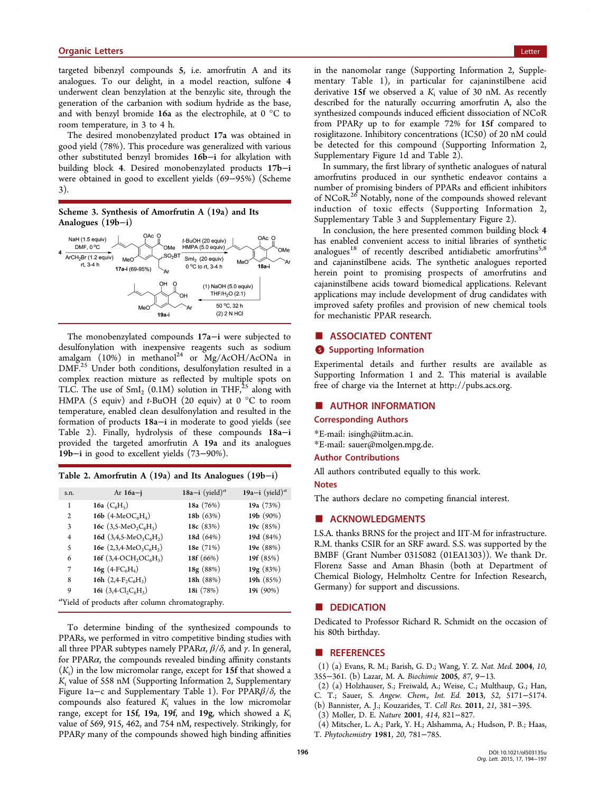<span id="page-2-0"></span>targeted bibenzyl compounds 5, i.e. amorfrutin A and its analogues. To our delight, in a model reaction, sulfone 4 underwent clean benzylation at the benzylic site, through the generation of the carbanion with sodium hydride as the base, and with benzyl bromide 16a as the electrophile, at 0 °C to room temperature, in 3 to 4 h.

The desired monobenzylated product 17a was obtained in good yield (78%). This procedure was generalized with various other substituted benzyl bromides 16b−i for alkylation with building block 4. Desired monobenzylated products 17b−i were obtained in good to excellent yields (69−95%) (Scheme 3).





The monobenzylated compounds 17a−i were subjected to desulfonylation with inexpensive reagents such as sodium amalgam (10%) in methanol<sup>24</sup> or  $Mg/ACOH/ACONa$  in DMF.<sup>25</sup> Under both conditions, desulfonylation resulted in a complex reaction mixture as r[e](#page-3-0)flected by multiple spots on TLC. [T](#page-3-0)he use of  $SmI_2$  (0.1M) solution in THF,<sup>25</sup> along with HMPA (5 equiv) and t-BuOH (20 equiv) at  $0^{\circ}$ C to room temperature, enabled clean desulfonylation and r[esu](#page-3-0)lted in the formation of products 18a−i in moderate to good yields (see Table 2). Finally, hydrolysis of these compounds 18a−i provided the targeted amorfrutin A 19a and its analogues 19b−i in good to excellent yields (73−90%).

| Table 2. Amorfrutin A $(19a)$ and Its Analogues $(19b-i)$ |  |  |  |  |
|-----------------------------------------------------------|--|--|--|--|
|                                                           |  |  |  |  |

| s.n.                                                        | Ar $16a - i$                                                   | 18a-i (yield) <sup>a</sup> | 19a-i (yield) <sup>a</sup> |  |  |  |  |
|-------------------------------------------------------------|----------------------------------------------------------------|----------------------------|----------------------------|--|--|--|--|
| 1                                                           | 16a $(C_6H_5)$                                                 | 18a (76%)                  | 19a (73%)                  |  |  |  |  |
| $\overline{2}$                                              | 16b $(4$ -MeOC <sub>6</sub> H <sub>4</sub> )                   | 18b $(63%)$                | 19b (90%)                  |  |  |  |  |
| 3                                                           | 16c $(3,5 \text{-} MeO_2C_6H_3)$                               | 18c $(83%)$                | 19c (85%)                  |  |  |  |  |
| $\overline{4}$                                              | 16d $(3,4,5 \text{-MeO}_3C_6H_2)$                              | 18d (64%)                  | 19d (84%)                  |  |  |  |  |
| 5                                                           | 16e $(2,3,4$ -MeO <sub>3</sub> C <sub>6</sub> H <sub>2</sub> ) | 18e (71%)                  | 19e (88%)                  |  |  |  |  |
| 6                                                           | 16f $(3,4$ -OCH <sub>2</sub> OC <sub>6</sub> H <sub>3</sub> )  | 18f (66%)                  | 19f (85%)                  |  |  |  |  |
| 7                                                           | 16g $(4-FC6H4)$                                                | 18g(88%)                   | 19g(83%)                   |  |  |  |  |
| 8                                                           | 16h $(2,4-F,C6H3)$                                             | 18h (88%)                  | 19h (85%)                  |  |  |  |  |
| 9                                                           | 16i $(3,4\text{-}Cl, C_6H_3)$                                  | 18i (78%)                  | 19i (90%)                  |  |  |  |  |
| <sup>a</sup> Yield of products after column chromatography. |                                                                |                            |                            |  |  |  |  |

To determine binding of the synthesized compounds to PPARs, we performed in vitro competitive binding studies with all three PPAR subtypes namely PPAR $\alpha$ ,  $\beta$ / $\delta$ , and  $\gamma$ . In general, for PPAR $\alpha$ , the compounds revealed binding affinity constants  $(K<sub>i</sub>)$  in the low micromolar range, except for 15f that showed a  $K_i$  value of 558 nM (Supporting Information 2, Supplementary Figure 1a−c and Supplementary Table 1). For PPARβ/δ, the compounds also featured  $K_i$  values in the low micromolar range, except for 15f, 19a, 19f, and 19g, which showed a  $K_i$ value of 569, 915, 462, and 754 nM, respectively. Strikingly, for PPARγ many of the compounds showed high binding affinities

in the nanomolar range (Supporting Information 2, Supplementary Table 1), in particular for cajaninstilbene acid derivative 15f we observed a  $K_i$  value of 30 nM. As recently described for the naturally occurring amorfrutin A, also the synthesized compounds induced efficient dissociation of NCoR from PPARγ up to for example 72% for 15f compared to rosiglitazone. Inhibitory concentrations (IC50) of 20 nM could be detected for this compound (Supporting Information 2, Supplementary Figure 1d and Table 2).

In summary, the first library of synthetic analogues of natural amorfrutins produced in our synthetic endeavor contains a number of promising binders of PPARs and efficient inhibitors of NCoR.<sup>26</sup> Notably, none of the compounds showed relevant induction of toxic effects (Supporting Information 2, Suppleme[nt](#page-3-0)ary Table 3 and Supplementary Figure 2).

In conclusion, the here presented common building block 4 has enabled convenient access to initial libraries of synthetic analogues<sup>18</sup> of recently described antidiabetic amorfrutins<sup>5,8</sup> and cajaninstilbene acids. The synthetic analogues reported herein p[oin](#page-3-0)t to promising prospects of amorfrutins a[nd](#page-3-0) cajaninstilbene acids toward biomedical applications. Relevant applications may include development of drug candidates with improved safety profiles and provision of new chemical tools for mechanistic PPAR research.

#### ■ ASSOCIATED CONTENT

### **6** Supporting Information

Experimental details and further results are available as Supporting Information 1 and 2. This material is available free of charge via the Internet at http://pubs.acs.org.

# ■ AUTHOR INFORMATION

#### Corresponding Authors

\*E-mail: isingh@iitm.ac.in. \*E-mail: sauer@molgen.mpg.de.

#### Author [Contributions](mailto:isingh@iitm.ac.in)

All autho[rs contributed equally](mailto:sauer@molgen.mpg.de) to this work.

#### Notes

The authors declare no competing financial interest.

# ■ ACKNOWLEDGMENTS

I.S.A. thanks BRNS for the project and IIT-M for infrastructure. R.M. thanks CSIR for an SRF award. S.S. was supported by the BMBF (Grant Number 0315082 (01EA1303)). We thank Dr. Florenz Sasse and Aman Bhasin (both at Department of Chemical Biology, Helmholtz Centre for Infection Research, Germany) for support and discussions.

#### ■ DEDICATION

Dedicated to Professor Richard R. Schmidt on the occasion of his 80th birthday.

#### ■ REFERENCES

(1) (a) Evans, R. M.; Barish, G. D.; Wang, Y. Z. Nat. Med. 2004, 10, 355−361. (b) Lazar, M. A. Biochimie 2005, 87, 9−13.

- (2) (a) Holzhauser, S.; Freiwald, A.; Weise, C.; Multhaup, G.; Han, C. T.; Sauer, S. Angew. Chem., Int. Ed. 2013, 52, 5171−5174.
- (b) Bannister, A. J.; Kouzarides, T. Cell Res. 2011, 21, 381−395.
- (3) Moller, D. E. Nature 2001, 414, 821−827.
- (4) Mitscher, L. A.; Park, Y. H.; Alshamma, A.; Hudson, P. B.; Haas, T. Phytochemistry 1981, 20, 781−785.